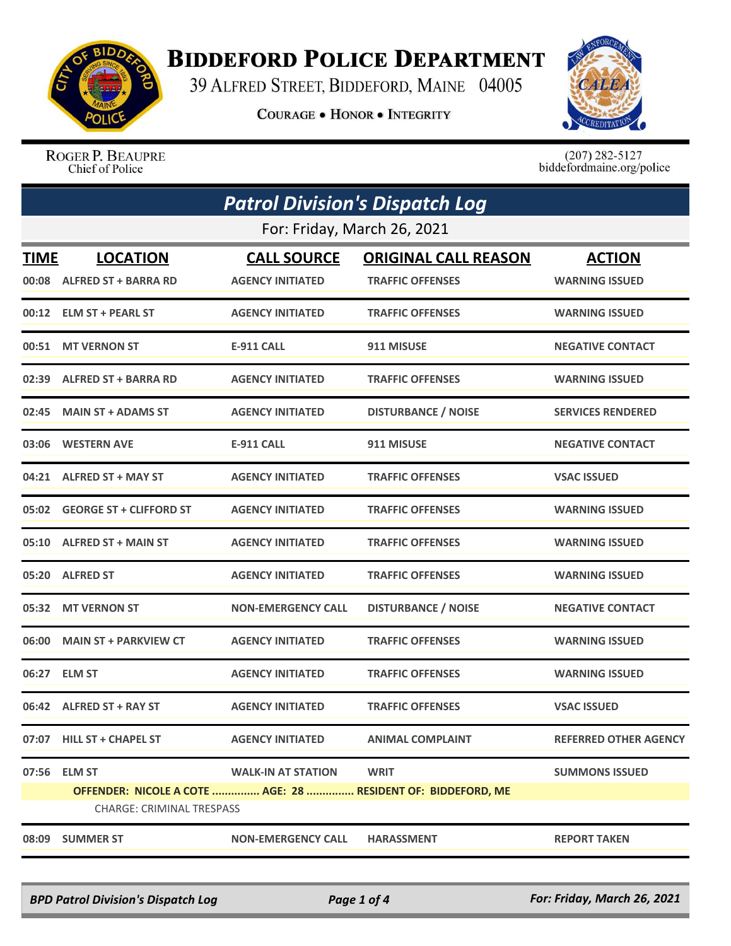

## **BIDDEFORD POLICE DEPARTMENT**

39 ALFRED STREET, BIDDEFORD, MAINE 04005

**COURAGE . HONOR . INTEGRITY** 



ROGER P. BEAUPRE Chief of Police

 $(207)$  282-5127<br>biddefordmaine.org/police

| <b>Patrol Division's Dispatch Log</b> |                                                                                                  |                           |                             |                              |  |  |
|---------------------------------------|--------------------------------------------------------------------------------------------------|---------------------------|-----------------------------|------------------------------|--|--|
|                                       | For: Friday, March 26, 2021                                                                      |                           |                             |                              |  |  |
| <b>TIME</b>                           | <b>LOCATION</b>                                                                                  | <b>CALL SOURCE</b>        | <b>ORIGINAL CALL REASON</b> | <b>ACTION</b>                |  |  |
|                                       | 00:08 ALFRED ST + BARRA RD                                                                       | <b>AGENCY INITIATED</b>   | <b>TRAFFIC OFFENSES</b>     | <b>WARNING ISSUED</b>        |  |  |
|                                       | 00:12 ELM ST + PEARL ST                                                                          | <b>AGENCY INITIATED</b>   | <b>TRAFFIC OFFENSES</b>     | <b>WARNING ISSUED</b>        |  |  |
| 00:51                                 | <b>MT VERNON ST</b>                                                                              | <b>E-911 CALL</b>         | 911 MISUSE                  | <b>NEGATIVE CONTACT</b>      |  |  |
| 02:39                                 | <b>ALFRED ST + BARRA RD</b>                                                                      | <b>AGENCY INITIATED</b>   | <b>TRAFFIC OFFENSES</b>     | <b>WARNING ISSUED</b>        |  |  |
| 02:45                                 | <b>MAIN ST + ADAMS ST</b>                                                                        | <b>AGENCY INITIATED</b>   | <b>DISTURBANCE / NOISE</b>  | <b>SERVICES RENDERED</b>     |  |  |
| 03:06                                 | <b>WESTERN AVE</b>                                                                               | <b>E-911 CALL</b>         | 911 MISUSE                  | <b>NEGATIVE CONTACT</b>      |  |  |
| 04:21                                 | <b>ALFRED ST + MAY ST</b>                                                                        | <b>AGENCY INITIATED</b>   | <b>TRAFFIC OFFENSES</b>     | <b>VSAC ISSUED</b>           |  |  |
|                                       | 05:02 GEORGE ST + CLIFFORD ST                                                                    | <b>AGENCY INITIATED</b>   | <b>TRAFFIC OFFENSES</b>     | <b>WARNING ISSUED</b>        |  |  |
|                                       | 05:10 ALFRED ST + MAIN ST                                                                        | <b>AGENCY INITIATED</b>   | <b>TRAFFIC OFFENSES</b>     | <b>WARNING ISSUED</b>        |  |  |
| 05:20                                 | <b>ALFRED ST</b>                                                                                 | <b>AGENCY INITIATED</b>   | <b>TRAFFIC OFFENSES</b>     | <b>WARNING ISSUED</b>        |  |  |
|                                       | 05:32 MT VERNON ST                                                                               | <b>NON-EMERGENCY CALL</b> | <b>DISTURBANCE / NOISE</b>  | <b>NEGATIVE CONTACT</b>      |  |  |
| 06:00                                 | <b>MAIN ST + PARKVIEW CT</b>                                                                     | <b>AGENCY INITIATED</b>   | <b>TRAFFIC OFFENSES</b>     | <b>WARNING ISSUED</b>        |  |  |
| 06:27                                 | <b>ELM ST</b>                                                                                    | <b>AGENCY INITIATED</b>   | <b>TRAFFIC OFFENSES</b>     | <b>WARNING ISSUED</b>        |  |  |
| 06:42                                 | <b>ALFRED ST + RAY ST</b>                                                                        | <b>AGENCY INITIATED</b>   | <b>TRAFFIC OFFENSES</b>     | <b>VSAC ISSUED</b>           |  |  |
|                                       | 07:07 HILL ST + CHAPEL ST                                                                        | <b>AGENCY INITIATED</b>   | <b>ANIMAL COMPLAINT</b>     | <b>REFERRED OTHER AGENCY</b> |  |  |
|                                       | 07:56 ELM ST                                                                                     | <b>WALK-IN AT STATION</b> | <b>WRIT</b>                 | <b>SUMMONS ISSUED</b>        |  |  |
|                                       | OFFENDER: NICOLE A COTE  AGE: 28  RESIDENT OF: BIDDEFORD, ME<br><b>CHARGE: CRIMINAL TRESPASS</b> |                           |                             |                              |  |  |
|                                       | 08:09 SUMMER ST                                                                                  | <b>NON-EMERGENCY CALL</b> | <b>HARASSMENT</b>           | <b>REPORT TAKEN</b>          |  |  |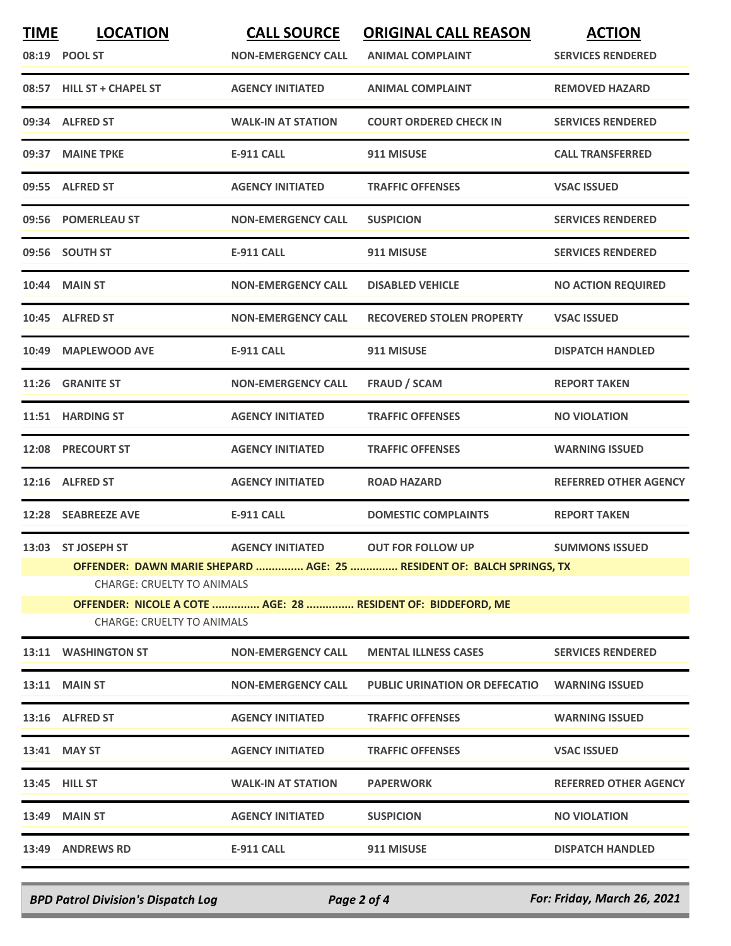| <b>TIME</b> | <b>LOCATION</b><br>08:19 POOL ST                                                                                                                                                                                                                                                                                      | <b>CALL SOURCE</b><br><b>NON-EMERGENCY CALL</b> | <b>ORIGINAL CALL REASON</b><br><b>ANIMAL COMPLAINT</b> | <b>ACTION</b><br><b>SERVICES RENDERED</b> |  |
|-------------|-----------------------------------------------------------------------------------------------------------------------------------------------------------------------------------------------------------------------------------------------------------------------------------------------------------------------|-------------------------------------------------|--------------------------------------------------------|-------------------------------------------|--|
|             | 08:57 HILL ST + CHAPEL ST                                                                                                                                                                                                                                                                                             | <b>AGENCY INITIATED</b>                         | <b>ANIMAL COMPLAINT</b>                                | <b>REMOVED HAZARD</b>                     |  |
|             | 09:34 ALFRED ST                                                                                                                                                                                                                                                                                                       | <b>WALK-IN AT STATION</b>                       | <b>COURT ORDERED CHECK IN</b>                          | <b>SERVICES RENDERED</b>                  |  |
|             | 09:37 MAINE TPKE                                                                                                                                                                                                                                                                                                      | E-911 CALL                                      | 911 MISUSE                                             | <b>CALL TRANSFERRED</b>                   |  |
|             | 09:55 ALFRED ST                                                                                                                                                                                                                                                                                                       | <b>AGENCY INITIATED</b>                         | <b>TRAFFIC OFFENSES</b>                                | <b>VSAC ISSUED</b>                        |  |
|             | 09:56 POMERLEAU ST                                                                                                                                                                                                                                                                                                    | <b>NON-EMERGENCY CALL</b>                       | <b>SUSPICION</b>                                       | <b>SERVICES RENDERED</b>                  |  |
|             | 09:56 SOUTH ST                                                                                                                                                                                                                                                                                                        | <b>E-911 CALL</b>                               | 911 MISUSE                                             | <b>SERVICES RENDERED</b>                  |  |
|             | <b>10:44 MAIN ST</b>                                                                                                                                                                                                                                                                                                  | <b>NON-EMERGENCY CALL</b>                       | <b>DISABLED VEHICLE</b>                                | <b>NO ACTION REQUIRED</b>                 |  |
|             | 10:45 ALFRED ST                                                                                                                                                                                                                                                                                                       | <b>NON-EMERGENCY CALL</b>                       | <b>RECOVERED STOLEN PROPERTY</b>                       | <b>VSAC ISSUED</b>                        |  |
|             | 10:49 MAPLEWOOD AVE                                                                                                                                                                                                                                                                                                   | <b>E-911 CALL</b>                               | 911 MISUSE                                             | <b>DISPATCH HANDLED</b>                   |  |
|             | 11:26 GRANITE ST                                                                                                                                                                                                                                                                                                      | <b>NON-EMERGENCY CALL</b>                       | <b>FRAUD / SCAM</b>                                    | <b>REPORT TAKEN</b>                       |  |
|             | 11:51 HARDING ST                                                                                                                                                                                                                                                                                                      | <b>AGENCY INITIATED</b>                         | <b>TRAFFIC OFFENSES</b>                                | <b>NO VIOLATION</b>                       |  |
|             | 12:08 PRECOURT ST                                                                                                                                                                                                                                                                                                     | <b>AGENCY INITIATED</b>                         | <b>TRAFFIC OFFENSES</b>                                | <b>WARNING ISSUED</b>                     |  |
|             | 12:16 ALFRED ST                                                                                                                                                                                                                                                                                                       | <b>AGENCY INITIATED</b>                         | <b>ROAD HAZARD</b>                                     | <b>REFERRED OTHER AGENCY</b>              |  |
|             | 12:28 SEABREEZE AVE                                                                                                                                                                                                                                                                                                   | <b>E-911 CALL</b>                               | <b>DOMESTIC COMPLAINTS</b>                             | <b>REPORT TAKEN</b>                       |  |
|             | 13:03 ST JOSEPH ST<br><b>AGENCY INITIATED</b><br><b>OUT FOR FOLLOW UP</b><br><b>SUMMONS ISSUED</b><br>OFFENDER: DAWN MARIE SHEPARD  AGE: 25  RESIDENT OF: BALCH SPRINGS, TX<br><b>CHARGE: CRUELTY TO ANIMALS</b><br>OFFENDER: NICOLE A COTE  AGE: 28  RESIDENT OF: BIDDEFORD, ME<br><b>CHARGE: CRUELTY TO ANIMALS</b> |                                                 |                                                        |                                           |  |
| 13:11       | <b>WASHINGTON ST</b>                                                                                                                                                                                                                                                                                                  | <b>NON-EMERGENCY CALL</b>                       | <b>MENTAL ILLNESS CASES</b>                            | <b>SERVICES RENDERED</b>                  |  |
|             | <b>13:11 MAIN ST</b>                                                                                                                                                                                                                                                                                                  | <b>NON-EMERGENCY CALL</b>                       | <b>PUBLIC URINATION OR DEFECATIO</b>                   | <b>WARNING ISSUED</b>                     |  |
|             | 13:16 ALFRED ST                                                                                                                                                                                                                                                                                                       | <b>AGENCY INITIATED</b>                         | <b>TRAFFIC OFFENSES</b>                                | <b>WARNING ISSUED</b>                     |  |
|             | 13:41 MAY ST                                                                                                                                                                                                                                                                                                          | <b>AGENCY INITIATED</b>                         | <b>TRAFFIC OFFENSES</b>                                | <b>VSAC ISSUED</b>                        |  |
|             | 13:45 HILL ST                                                                                                                                                                                                                                                                                                         | <b>WALK-IN AT STATION</b>                       | <b>PAPERWORK</b>                                       | <b>REFERRED OTHER AGENCY</b>              |  |
| 13:49       | <b>MAIN ST</b>                                                                                                                                                                                                                                                                                                        | <b>AGENCY INITIATED</b>                         | <b>SUSPICION</b>                                       | <b>NO VIOLATION</b>                       |  |
|             | 13:49 ANDREWS RD                                                                                                                                                                                                                                                                                                      | E-911 CALL                                      | 911 MISUSE                                             | <b>DISPATCH HANDLED</b>                   |  |

*BPD Patrol Division's Dispatch Log Page 2 of 4 For: Friday, March 26, 2021*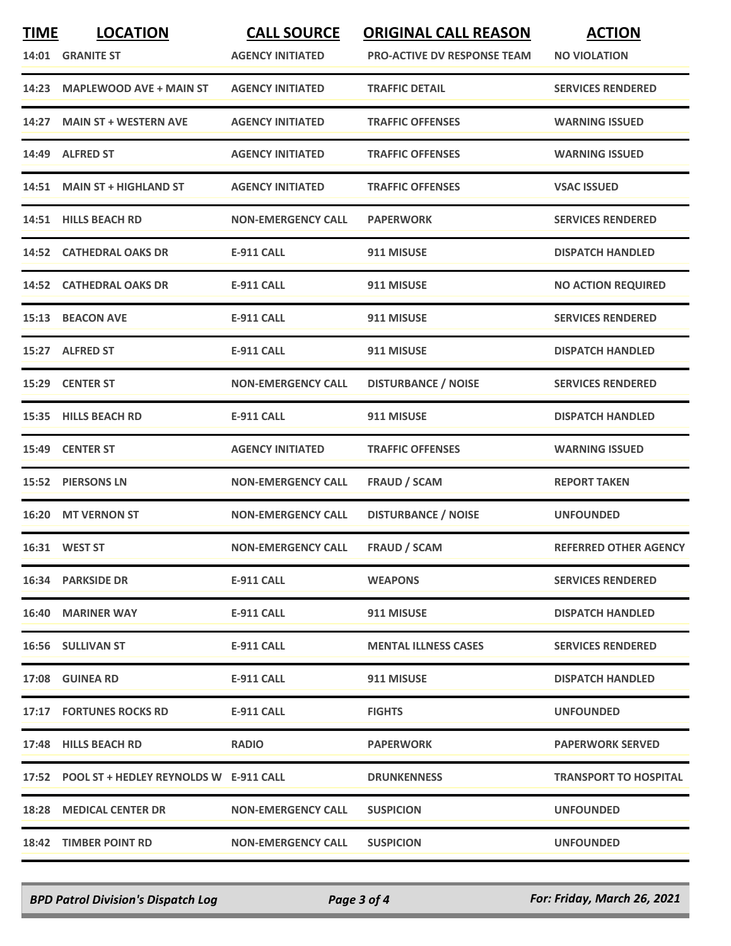| <b>TIME</b> | <b>LOCATION</b><br>14:01 GRANITE ST          | <b>CALL SOURCE</b><br><b>AGENCY INITIATED</b> | <b>ORIGINAL CALL REASON</b><br><b>PRO-ACTIVE DV RESPONSE TEAM</b> | <b>ACTION</b><br><b>NO VIOLATION</b> |
|-------------|----------------------------------------------|-----------------------------------------------|-------------------------------------------------------------------|--------------------------------------|
| 14:23       | <b>MAPLEWOOD AVE + MAIN ST</b>               | <b>AGENCY INITIATED</b>                       | TRAFFIC DETAIL                                                    | <b>SERVICES RENDERED</b>             |
| 14:27       | <b>MAIN ST + WESTERN AVE</b>                 | <b>AGENCY INITIATED</b>                       | <b>TRAFFIC OFFENSES</b>                                           | <b>WARNING ISSUED</b>                |
|             | 14:49 ALFRED ST                              | <b>AGENCY INITIATED</b>                       | <b>TRAFFIC OFFENSES</b>                                           | <b>WARNING ISSUED</b>                |
|             | 14:51 MAIN ST + HIGHLAND ST                  | <b>AGENCY INITIATED</b>                       | <b>TRAFFIC OFFENSES</b>                                           | <b>VSAC ISSUED</b>                   |
|             | 14:51 HILLS BEACH RD                         | <b>NON-EMERGENCY CALL</b>                     | <b>PAPERWORK</b>                                                  | <b>SERVICES RENDERED</b>             |
|             | <b>14:52 CATHEDRAL OAKS DR</b>               | <b>E-911 CALL</b>                             | 911 MISUSE                                                        | <b>DISPATCH HANDLED</b>              |
|             | <b>14:52 CATHEDRAL OAKS DR</b>               | <b>E-911 CALL</b>                             | 911 MISUSE                                                        | <b>NO ACTION REQUIRED</b>            |
|             | 15:13 BEACON AVE                             | E-911 CALL                                    | 911 MISUSE                                                        | <b>SERVICES RENDERED</b>             |
| 15:27       | <b>ALFRED ST</b>                             | <b>E-911 CALL</b>                             | 911 MISUSE                                                        | <b>DISPATCH HANDLED</b>              |
|             | 15:29 CENTER ST                              | <b>NON-EMERGENCY CALL</b>                     | <b>DISTURBANCE / NOISE</b>                                        | <b>SERVICES RENDERED</b>             |
|             | 15:35 HILLS BEACH RD                         | <b>E-911 CALL</b>                             | 911 MISUSE                                                        | <b>DISPATCH HANDLED</b>              |
|             | 15:49 CENTER ST                              | <b>AGENCY INITIATED</b>                       | <b>TRAFFIC OFFENSES</b>                                           | <b>WARNING ISSUED</b>                |
|             | 15:52 PIERSONS LN                            | <b>NON-EMERGENCY CALL</b>                     | <b>FRAUD / SCAM</b>                                               | <b>REPORT TAKEN</b>                  |
| 16:20       | <b>MT VERNON ST</b>                          | <b>NON-EMERGENCY CALL</b>                     | <b>DISTURBANCE / NOISE</b>                                        | <b>UNFOUNDED</b>                     |
|             | <b>16:31 WEST ST</b>                         | <b>NON-EMERGENCY CALL</b>                     | <b>FRAUD / SCAM</b>                                               | <b>REFERRED OTHER AGENCY</b>         |
|             | <b>16:34 PARKSIDE DR</b>                     | <b>E-911 CALL</b>                             | <b>WEAPONS</b>                                                    | <b>SERVICES RENDERED</b>             |
|             | 16:40 MARINER WAY                            | <b>E-911 CALL</b>                             | 911 MISUSE                                                        | <b>DISPATCH HANDLED</b>              |
|             | 16:56 SULLIVAN ST                            | <b>E-911 CALL</b>                             | <b>MENTAL ILLNESS CASES</b>                                       | <b>SERVICES RENDERED</b>             |
|             | 17:08 GUINEA RD                              | <b>E-911 CALL</b>                             | 911 MISUSE                                                        | <b>DISPATCH HANDLED</b>              |
|             | 17:17 FORTUNES ROCKS RD                      | <b>E-911 CALL</b>                             | <b>FIGHTS</b>                                                     | <b>UNFOUNDED</b>                     |
|             | 17:48 HILLS BEACH RD                         | <b>RADIO</b>                                  | <b>PAPERWORK</b>                                                  | <b>PAPERWORK SERVED</b>              |
|             | 17:52 POOL ST + HEDLEY REYNOLDS W E-911 CALL |                                               | <b>DRUNKENNESS</b>                                                | <b>TRANSPORT TO HOSPITAL</b>         |
| 18:28       | <b>MEDICAL CENTER DR</b>                     | <b>NON-EMERGENCY CALL</b>                     | <b>SUSPICION</b>                                                  | <b>UNFOUNDED</b>                     |
|             | 18:42 TIMBER POINT RD                        | <b>NON-EMERGENCY CALL</b>                     | <b>SUSPICION</b>                                                  | <b>UNFOUNDED</b>                     |

*BPD Patrol Division's Dispatch Log Page 3 of 4 For: Friday, March 26, 2021*